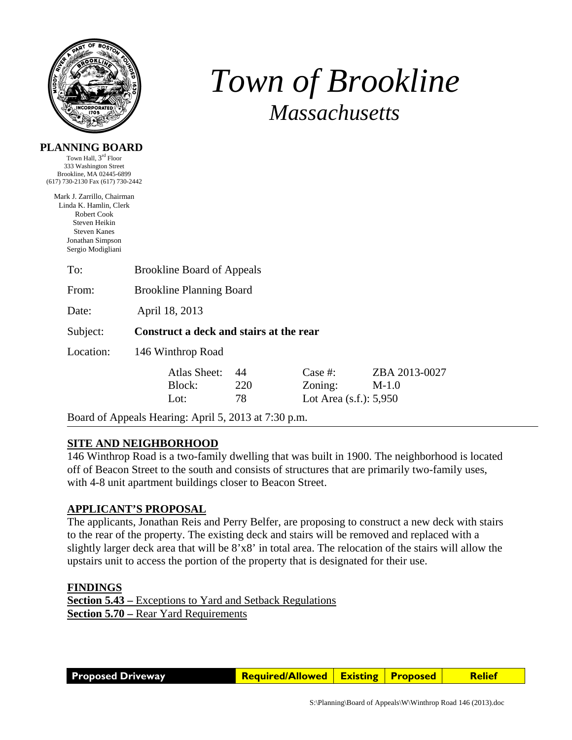

**PLANNING BOARD**  Town Hall, 3rd Floor

# *Town of Brookline Massachusetts*

| 333 Washington Street<br>Brookline, MA 02445-6899<br>(617) 730-2130 Fax (617) 730-2442                                                               |                                                      |                 |                                                    |                          |  |  |
|------------------------------------------------------------------------------------------------------------------------------------------------------|------------------------------------------------------|-----------------|----------------------------------------------------|--------------------------|--|--|
| Mark J. Zarrillo, Chairman<br>Linda K. Hamlin, Clerk<br>Robert Cook<br>Steven Heikin<br><b>Steven Kanes</b><br>Jonathan Simpson<br>Sergio Modigliani |                                                      |                 |                                                    |                          |  |  |
| To:                                                                                                                                                  | <b>Brookline Board of Appeals</b>                    |                 |                                                    |                          |  |  |
| From:                                                                                                                                                | <b>Brookline Planning Board</b>                      |                 |                                                    |                          |  |  |
| Date:                                                                                                                                                | April 18, 2013                                       |                 |                                                    |                          |  |  |
| Subject:                                                                                                                                             | Construct a deck and stairs at the rear              |                 |                                                    |                          |  |  |
| Location:                                                                                                                                            | 146 Winthrop Road                                    |                 |                                                    |                          |  |  |
|                                                                                                                                                      | Atlas Sheet:<br>Block:<br>Lot:                       | 44<br>220<br>78 | Case $#$ :<br>Zoning:<br>Lot Area $(s.f.)$ : 5,950 | ZBA 2013-0027<br>$M-1.0$ |  |  |
|                                                                                                                                                      | Board of Appeals Hearing: April 5, 2013 at 7:30 p.m. |                 |                                                    |                          |  |  |

## **SITE AND NEIGHBORHOOD**

146 Winthrop Road is a two-family dwelling that was built in 1900. The neighborhood is located off of Beacon Street to the south and consists of structures that are primarily two-family uses, with 4-8 unit apartment buildings closer to Beacon Street.

## **APPLICANT'S PROPOSAL**

The applicants, Jonathan Reis and Perry Belfer, are proposing to construct a new deck with stairs to the rear of the property. The existing deck and stairs will be removed and replaced with a slightly larger deck area that will be 8'x8' in total area. The relocation of the stairs will allow the upstairs unit to access the portion of the property that is designated for their use.

## **FINDINGS**

**Section 5.43 –** Exceptions to Yard and Setback Regulations **Section 5.70 –** Rear Yard Requirements

**Proposed Driveway Required/Allowed Existing Proposed Relief**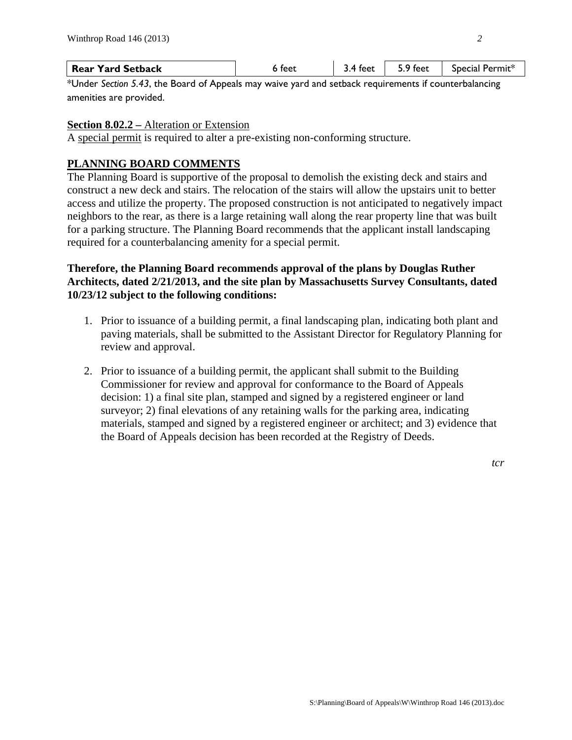| <b>Rear Yard Setback</b> | 6 feet | 3.4 feet | 5.9 feet | $\mid$ Special Permit* |
|--------------------------|--------|----------|----------|------------------------|
|--------------------------|--------|----------|----------|------------------------|

\*Under *Section 5.43*, the Board of Appeals may waive yard and setback requirements if counterbalancing amenities are provided.

## **Section 8.02.2 –** Alteration or Extension

A special permit is required to alter a pre-existing non-conforming structure.

# **PLANNING BOARD COMMENTS**

The Planning Board is supportive of the proposal to demolish the existing deck and stairs and construct a new deck and stairs. The relocation of the stairs will allow the upstairs unit to better access and utilize the property. The proposed construction is not anticipated to negatively impact neighbors to the rear, as there is a large retaining wall along the rear property line that was built for a parking structure. The Planning Board recommends that the applicant install landscaping required for a counterbalancing amenity for a special permit.

# **Therefore, the Planning Board recommends approval of the plans by Douglas Ruther Architects, dated 2/21/2013, and the site plan by Massachusetts Survey Consultants, dated 10/23/12 subject to the following conditions:**

- 1. Prior to issuance of a building permit, a final landscaping plan, indicating both plant and paving materials, shall be submitted to the Assistant Director for Regulatory Planning for review and approval.
- 2. Prior to issuance of a building permit, the applicant shall submit to the Building Commissioner for review and approval for conformance to the Board of Appeals decision: 1) a final site plan, stamped and signed by a registered engineer or land surveyor; 2) final elevations of any retaining walls for the parking area, indicating materials, stamped and signed by a registered engineer or architect; and 3) evidence that the Board of Appeals decision has been recorded at the Registry of Deeds.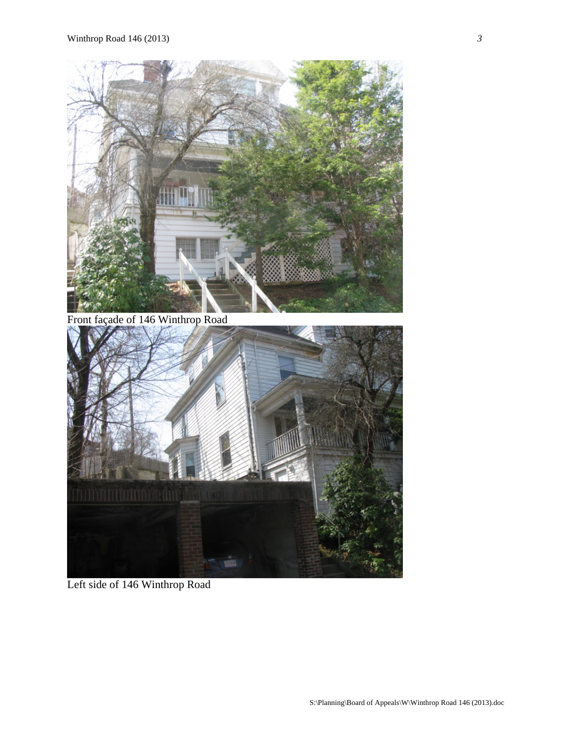



Left side of 146 Winthrop Road